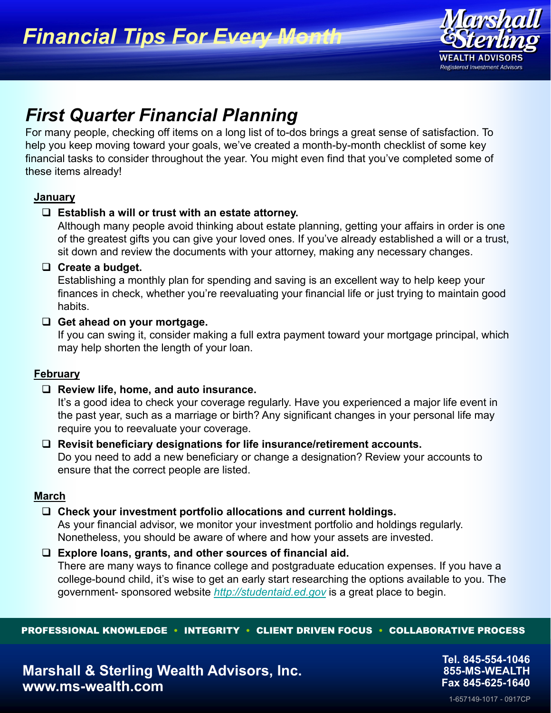

# *First Quarter Financial Planning*

For many people, checking off items on a long list of to-dos brings a great sense of satisfaction. To help you keep moving toward your goals, we've created a month-by-month checklist of some key financial tasks to consider throughout the year. You might even find that you've completed some of these items already!

## **January**

## **Establish a will or trust with an estate attorney.**

Although many people avoid thinking about estate planning, getting your affairs in order is one of the greatest gifts you can give your loved ones. If you've already established a will or a trust, sit down and review the documents with your attorney, making any necessary changes.

### **Create a budget.**

Establishing a monthly plan for spending and saving is an excellent way to help keep your finances in check, whether you're reevaluating your financial life or just trying to maintain good habits.

### **Get ahead on your mortgage.**

If you can swing it, consider making a full extra payment toward your mortgage principal, which may help shorten the length of your loan.

## **February**

## **Review life, home, and auto insurance.**

It's a good idea to check your coverage regularly. Have you experienced a major life event in the past year, such as a marriage or birth? Any significant changes in your personal life may require you to reevaluate your coverage.

# **Revisit beneficiary designations for life insurance/retirement accounts.**  Do you need to add a new beneficiary or change a designation? Review your accounts to ensure that the correct people are listed.

## **March**

## **Check your investment portfolio allocations and current holdings.**

As your financial advisor, we monitor your investment portfolio and holdings regularly. Nonetheless, you should be aware of where and how your assets are invested.

### **Explore loans, grants, and other sources of financial aid.**

There are many ways to finance college and postgraduate education expenses. If you have a college-bound child, it's wise to get an early start researching the options available to you. The government- sponsored website *http://studentaid.ed.gov* is a great place to begin.

PROFESSIONAL KNOWLEDGE • INTEGRITY • CLIENT DRIVEN FOCUS • COLLABORATIVE PROCESS

**Tel. 845-554-1046 855-MS-WEALTH Fax 845-625-1640**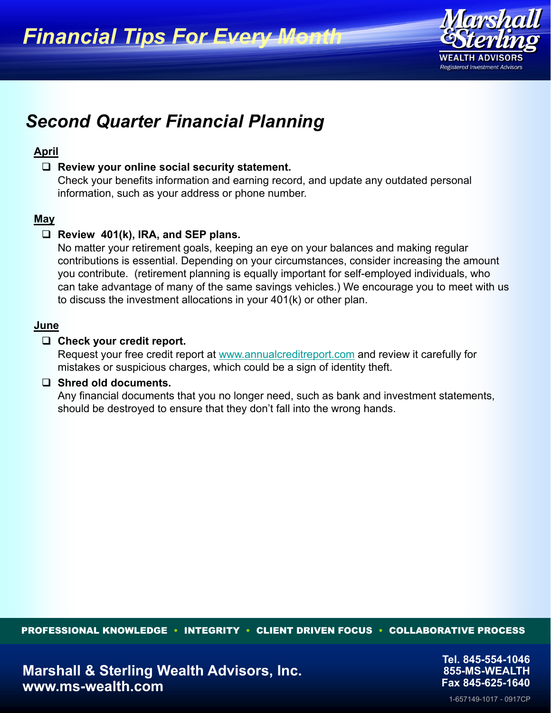*Financial Tips For Every Month*



# *Second Quarter Financial Planning*

## **April**

### **Review your online social security statement.**

Check your benefits information and earning record, and update any outdated personal information, such as your address or phone number.

## **May**

## **Review 401(k), IRA, and SEP plans.**

No matter your retirement goals, keeping an eye on your balances and making regular contributions is essential. Depending on your circumstances, consider increasing the amount you contribute. (retirement planning is equally important for self-employed individuals, who can take advantage of many of the same savings vehicles.) We encourage you to meet with us to discuss the investment allocations in your 401(k) or other plan.

### **June**

### **Check your credit report.**

Request your free credit report at www.annualcreditreport.com and review it carefully for mistakes or suspicious charges, which could be a sign of identity theft.

### **Shred old documents.**

Any financial documents that you no longer need, such as bank and investment statements, should be destroyed to ensure that they don't fall into the wrong hands.

PROFESSIONAL KNOWLEDGE • INTEGRITY • CLIENT DRIVEN FOCUS • COLLABORATIVE PROCESS

1-657149-1017 - 0917CP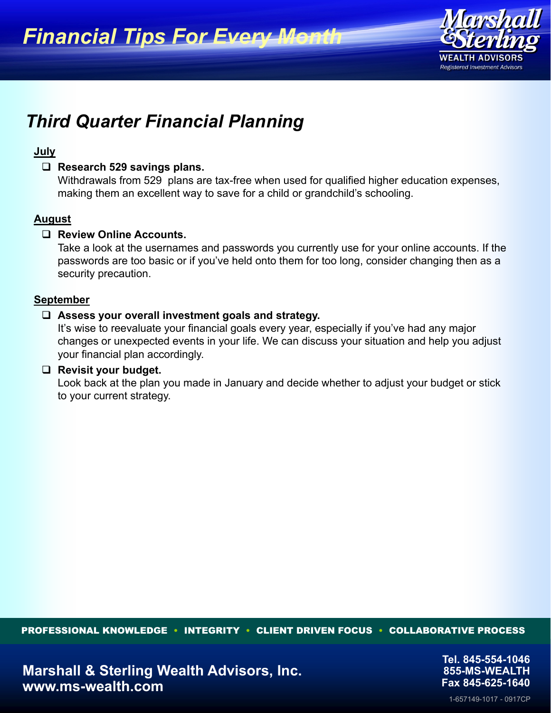

# *Third Quarter Financial Planning*

### **July**

### **Research 529 savings plans.**

Withdrawals from 529 plans are tax-free when used for qualified higher education expenses, making them an excellent way to save for a child or grandchild's schooling.

### **August**

### **Review Online Accounts.**

Take a look at the usernames and passwords you currently use for your online accounts. If the passwords are too basic or if you've held onto them for too long, consider changing then as a security precaution.

### **September**

### **Assess your overall investment goals and strategy.**

It's wise to reevaluate your financial goals every year, especially if you've had any major changes or unexpected events in your life. We can discuss your situation and help you adjust your financial plan accordingly.

### **Revisit your budget.**

Look back at the plan you made in January and decide whether to adjust your budget or stick to your current strategy.

PROFESSIONAL KNOWLEDGE • INTEGRITY • CLIENT DRIVEN FOCUS • COLLABORATIVE PROCESS